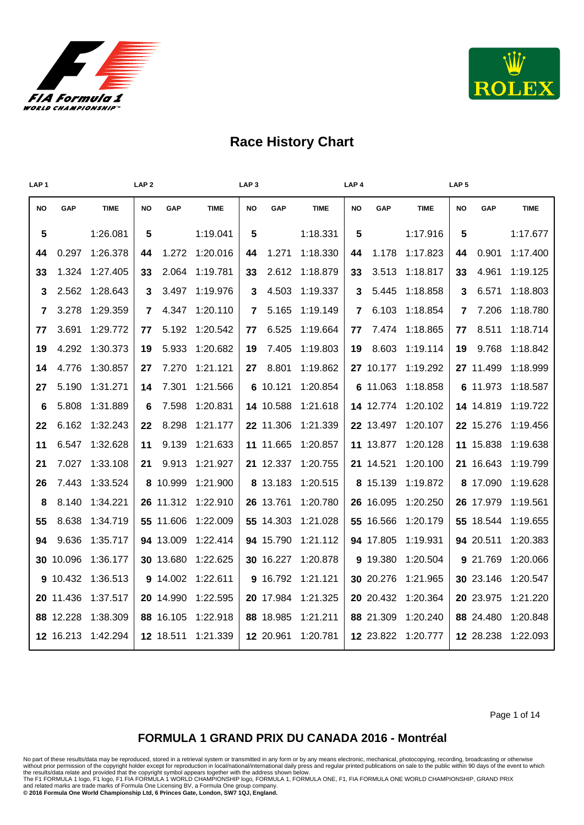



| LAP <sub>1</sub> |           |             | LAP <sub>2</sub> |            |             | LAP <sub>3</sub> |           |             | LAP <sub>4</sub> |           |             | LAP <sub>5</sub> |           |             |
|------------------|-----------|-------------|------------------|------------|-------------|------------------|-----------|-------------|------------------|-----------|-------------|------------------|-----------|-------------|
| <b>NO</b>        | GAP       | <b>TIME</b> | <b>NO</b>        | <b>GAP</b> | <b>TIME</b> | <b>NO</b>        | GAP       | <b>TIME</b> | <b>NO</b>        | GAP       | <b>TIME</b> | <b>NO</b>        | GAP       | <b>TIME</b> |
| 5                |           | 1:26.081    | 5                |            | 1:19.041    | 5                |           | 1:18.331    | 5                |           | 1:17.916    | 5                |           | 1:17.677    |
| 44               | 0.297     | 1:26.378    | 44               | 1.272      | 1:20.016    | 44               | 1.271     | 1:18.330    | 44               | 1.178     | 1:17.823    | 44               | 0.901     | 1:17.400    |
| 33               | 1.324     | 1:27.405    | 33               | 2.064      | 1:19.781    | 33               | 2.612     | 1:18.879    | 33               | 3.513     | 1:18.817    | 33               | 4.961     | 1:19.125    |
| 3                | 2.562     | 1:28.643    | 3                | 3.497      | 1:19.976    | 3                | 4.503     | 1:19.337    | 3                | 5.445     | 1:18.858    | 3                | 6.571     | 1:18.803    |
| 7                | 3.278     | 1:29.359    | 7                | 4.347      | 1:20.110    | 7                | 5.165     | 1:19.149    | 7                | 6.103     | 1:18.854    | 7                | 7.206     | 1:18.780    |
| 77               | 3.691     | 1:29.772    | 77               | 5.192      | 1:20.542    | 77               | 6.525     | 1:19.664    | 77               | 7.474     | 1:18.865    | 77               | 8.511     | 1:18.714    |
| 19               | 4.292     | 1:30.373    | 19               | 5.933      | 1:20.682    | 19               | 7.405     | 1:19.803    | 19               | 8.603     | 1:19.114    | 19               | 9.768     | 1:18.842    |
| 14               | 4.776     | 1:30.857    | 27               | 7.270      | 1:21.121    | 27               | 8.801     | 1:19.862    |                  | 27 10.177 | 1:19.292    |                  | 27 11.499 | 1:18.999    |
| 27               | 5.190     | 1:31.271    | 14               | 7.301      | 1:21.566    |                  | 6 10.121  | 1:20.854    |                  | 6 11.063  | 1:18.858    |                  | 6 11.973  | 1:18.587    |
| 6                | 5.808     | 1:31.889    | 6                | 7.598      | 1:20.831    |                  | 14 10.588 | 1:21.618    |                  | 14 12.774 | 1:20.102    |                  | 14 14.819 | 1:19.722    |
| 22               | 6.162     | 1:32.243    | 22               | 8.298      | 1:21.177    |                  | 22 11.306 | 1:21.339    |                  | 22 13.497 | 1:20.107    |                  | 22 15.276 | 1:19.456    |
| 11               | 6.547     | 1:32.628    | 11               | 9.139      | 1:21.633    |                  | 11 11.665 | 1:20.857    |                  | 11 13.877 | 1:20.128    |                  | 11 15.838 | 1:19.638    |
| 21               | 7.027     | 1:33.108    | 21               | 9.913      | 1:21.927    |                  | 21 12.337 | 1:20.755    |                  | 21 14.521 | 1:20.100    |                  | 21 16.643 | 1:19.799    |
| 26               | 7.443     | 1:33.524    |                  | 8 10.999   | 1:21.900    |                  | 8 13.183  | 1:20.515    |                  | 8 15.139  | 1:19.872    |                  | 8 17.090  | 1:19.628    |
| 8                | 8.140     | 1:34.221    |                  | 26 11.312  | 1:22.910    |                  | 26 13.761 | 1:20.780    |                  | 26 16.095 | 1:20.250    |                  | 26 17.979 | 1:19.561    |
| 55               | 8.638     | 1:34.719    |                  | 55 11.606  | 1:22.009    |                  | 55 14.303 | 1:21.028    |                  | 55 16.566 | 1:20.179    |                  | 55 18.544 | 1:19.655    |
| 94               | 9.636     | 1:35.717    |                  | 94 13.009  | 1:22.414    |                  | 94 15.790 | 1:21.112    |                  | 94 17.805 | 1:19.931    |                  | 94 20.511 | 1:20.383    |
|                  | 30 10.096 | 1:36.177    |                  | 30 13.680  | 1:22.625    |                  | 30 16.227 | 1:20.878    |                  | 9 19.380  | 1:20.504    |                  | 9 21.769  | 1:20.066    |
|                  | 9 10.432  | 1:36.513    |                  | 9 14.002   | 1:22.611    |                  | 9 16.792  | 1:21.121    |                  | 30 20.276 | 1:21.965    |                  | 30 23.146 | 1:20.547    |
|                  | 20 11.436 | 1:37.517    |                  | 20 14.990  | 1:22.595    |                  | 20 17.984 | 1:21.325    |                  | 20 20 432 | 1:20.364    |                  | 20 23.975 | 1:21.220    |
|                  | 88 12.228 | 1:38.309    |                  | 88 16.105  | 1:22.918    |                  | 88 18.985 | 1:21.211    |                  | 88 21.309 | 1:20.240    |                  | 88 24.480 | 1:20.848    |
|                  | 12 16.213 | 1:42.294    |                  | 12 18.511  | 1:21.339    |                  | 12 20.961 | 1:20.781    |                  | 12 23.822 | 1:20.777    |                  | 12 28.238 | 1:22.093    |

Page 1 of 14

### **FORMULA 1 GRAND PRIX DU CANADA 2016 - Montréal**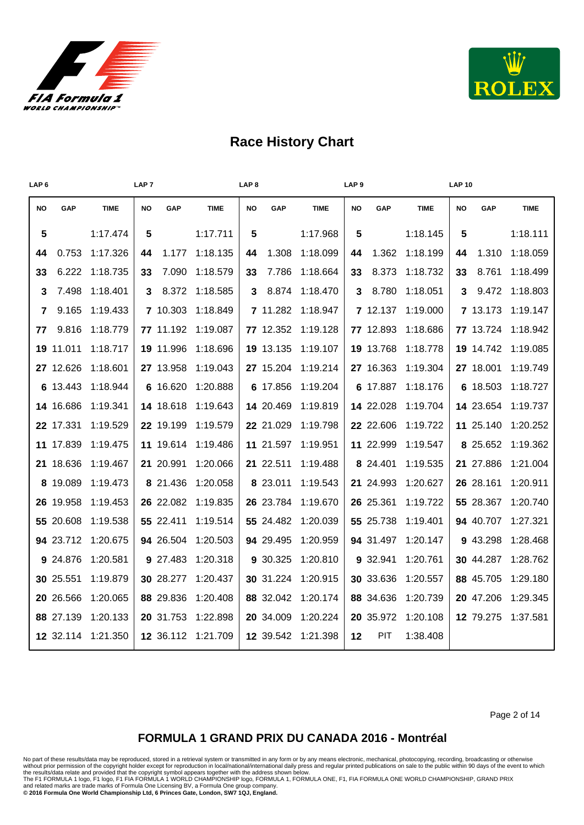



| <b>GAP</b> | <b>TIME</b>                                                                                                                                                                                                                                                                         | <b>NO</b> | GAP   | <b>TIME</b>                                                                                                                                                                                                                                                 | NO             | GAP              | <b>TIME</b>                                                                                                                                                                                                                        | <b>NO</b> | GAP   | <b>TIME</b>                                                                                                                                                                                                                                                     | <b>NO</b> | GAP   | <b>TIME</b>                                                                                                                                                                                                                            |
|------------|-------------------------------------------------------------------------------------------------------------------------------------------------------------------------------------------------------------------------------------------------------------------------------------|-----------|-------|-------------------------------------------------------------------------------------------------------------------------------------------------------------------------------------------------------------------------------------------------------------|----------------|------------------|------------------------------------------------------------------------------------------------------------------------------------------------------------------------------------------------------------------------------------|-----------|-------|-----------------------------------------------------------------------------------------------------------------------------------------------------------------------------------------------------------------------------------------------------------------|-----------|-------|----------------------------------------------------------------------------------------------------------------------------------------------------------------------------------------------------------------------------------------|
|            | 1:17.474                                                                                                                                                                                                                                                                            | 5         |       | 1:17.711                                                                                                                                                                                                                                                    | $5\phantom{1}$ |                  | 1:17.968                                                                                                                                                                                                                           | 5         |       | 1:18.145                                                                                                                                                                                                                                                        | 5         |       | 1:18.111                                                                                                                                                                                                                               |
| 0.753      | 1:17.326                                                                                                                                                                                                                                                                            | 44        | 1.177 | 1:18.135                                                                                                                                                                                                                                                    | 44             | 1.308            | 1:18.099                                                                                                                                                                                                                           | 44        | 1.362 | 1:18.199                                                                                                                                                                                                                                                        | 44        | 1.310 | 1:18.059                                                                                                                                                                                                                               |
| 6.222      | 1:18.735                                                                                                                                                                                                                                                                            | 33        | 7.090 | 1:18.579                                                                                                                                                                                                                                                    | 33             | 7.786            | 1:18.664                                                                                                                                                                                                                           |           | 8.373 | 1:18.732                                                                                                                                                                                                                                                        | 33        | 8.761 | 1:18.499                                                                                                                                                                                                                               |
| 7.498      | 1:18.401                                                                                                                                                                                                                                                                            |           | 8.372 | 1:18.585                                                                                                                                                                                                                                                    | 3              | 8.874            | 1:18.470                                                                                                                                                                                                                           |           | 8.780 | 1:18.051                                                                                                                                                                                                                                                        | 3         | 9.472 | 1:18.803                                                                                                                                                                                                                               |
| 9.165      | 1:19.433                                                                                                                                                                                                                                                                            |           |       | 1:18.849                                                                                                                                                                                                                                                    |                |                  | 1:18.947                                                                                                                                                                                                                           |           |       | 1:19.000                                                                                                                                                                                                                                                        |           |       | 1:19.147                                                                                                                                                                                                                               |
| 9.816      | 1:18.779                                                                                                                                                                                                                                                                            |           |       | 1:19.087                                                                                                                                                                                                                                                    |                |                  | 1:19.128                                                                                                                                                                                                                           |           |       | 1:18.686                                                                                                                                                                                                                                                        |           |       | 1:18.942                                                                                                                                                                                                                               |
|            | 1:18.717                                                                                                                                                                                                                                                                            |           |       | 1:18.696                                                                                                                                                                                                                                                    |                |                  | 1:19.107                                                                                                                                                                                                                           |           |       | 1:18.778                                                                                                                                                                                                                                                        |           |       | 1:19.085                                                                                                                                                                                                                               |
|            | 1:18.601                                                                                                                                                                                                                                                                            |           |       | 1:19.043                                                                                                                                                                                                                                                    |                |                  | 1:19.214                                                                                                                                                                                                                           |           |       | 1:19.304                                                                                                                                                                                                                                                        |           |       | 1:19.749                                                                                                                                                                                                                               |
|            | 1:18.944                                                                                                                                                                                                                                                                            |           |       | 1:20.888                                                                                                                                                                                                                                                    |                |                  | 1:19.204                                                                                                                                                                                                                           |           |       | 1:18.176                                                                                                                                                                                                                                                        |           |       | 1:18.727                                                                                                                                                                                                                               |
|            | 1:19.341                                                                                                                                                                                                                                                                            |           |       | 1:19.643                                                                                                                                                                                                                                                    |                |                  | 1:19.819                                                                                                                                                                                                                           |           |       | 1:19.704                                                                                                                                                                                                                                                        |           |       | 1:19.737                                                                                                                                                                                                                               |
|            | 1:19.529                                                                                                                                                                                                                                                                            |           |       | 1:19.579                                                                                                                                                                                                                                                    |                |                  | 1:19.798                                                                                                                                                                                                                           |           |       | 1:19.722                                                                                                                                                                                                                                                        |           |       | 1:20.252                                                                                                                                                                                                                               |
|            | 1:19.475                                                                                                                                                                                                                                                                            |           |       | 1:19.486                                                                                                                                                                                                                                                    |                |                  | 1:19.951                                                                                                                                                                                                                           |           |       | 1:19.547                                                                                                                                                                                                                                                        |           |       | 1:19.362                                                                                                                                                                                                                               |
|            | 1:19.467                                                                                                                                                                                                                                                                            |           |       | 1:20.066                                                                                                                                                                                                                                                    |                |                  | 1:19.488                                                                                                                                                                                                                           |           |       | 1:19.535                                                                                                                                                                                                                                                        |           |       | 1:21.004                                                                                                                                                                                                                               |
|            | 1:19.473                                                                                                                                                                                                                                                                            |           |       | 1:20.058                                                                                                                                                                                                                                                    |                |                  | 1:19.543                                                                                                                                                                                                                           |           |       | 1:20.627                                                                                                                                                                                                                                                        |           |       | 1:20.911                                                                                                                                                                                                                               |
|            | 1:19.453                                                                                                                                                                                                                                                                            |           |       | 1:19.835                                                                                                                                                                                                                                                    |                |                  | 1:19.670                                                                                                                                                                                                                           |           |       | 1:19.722                                                                                                                                                                                                                                                        |           |       | 1:20.740                                                                                                                                                                                                                               |
|            | 1:19.538                                                                                                                                                                                                                                                                            |           |       | 1:19.514                                                                                                                                                                                                                                                    |                |                  | 1:20.039                                                                                                                                                                                                                           |           |       | 1:19.401                                                                                                                                                                                                                                                        |           |       | 1:27.321                                                                                                                                                                                                                               |
|            | 1:20.675                                                                                                                                                                                                                                                                            |           |       | 1:20.503                                                                                                                                                                                                                                                    |                |                  | 1:20.959                                                                                                                                                                                                                           |           |       | 1:20.147                                                                                                                                                                                                                                                        |           |       | 1:28.468                                                                                                                                                                                                                               |
|            | 1:20.581                                                                                                                                                                                                                                                                            |           |       | 1:20.318                                                                                                                                                                                                                                                    |                |                  | 1:20.810                                                                                                                                                                                                                           |           |       | 1:20.761                                                                                                                                                                                                                                                        |           |       | 1:28.762                                                                                                                                                                                                                               |
|            | 1:19.879                                                                                                                                                                                                                                                                            |           |       | 1:20.437                                                                                                                                                                                                                                                    |                |                  | 1:20.915                                                                                                                                                                                                                           |           |       | 1:20.557                                                                                                                                                                                                                                                        |           |       | 1:29.180                                                                                                                                                                                                                               |
|            | 1:20.065                                                                                                                                                                                                                                                                            |           |       | 1:20.408                                                                                                                                                                                                                                                    |                |                  | 1:20.174                                                                                                                                                                                                                           |           |       | 1:20.739                                                                                                                                                                                                                                                        |           |       | 1:29.345                                                                                                                                                                                                                               |
|            | 1:20.133                                                                                                                                                                                                                                                                            |           |       | 1:22.898                                                                                                                                                                                                                                                    |                |                  | 1:20.224                                                                                                                                                                                                                           |           |       | 1:20.108                                                                                                                                                                                                                                                        |           |       | 1:37.581                                                                                                                                                                                                                               |
|            | 1:21.350                                                                                                                                                                                                                                                                            |           |       |                                                                                                                                                                                                                                                             |                |                  | 1:21.398                                                                                                                                                                                                                           |           | PIT   | 1:38.408                                                                                                                                                                                                                                                        |           |       |                                                                                                                                                                                                                                        |
|            | LAP <sub>6</sub><br><b>NO</b><br>${\bf 5}$<br>44<br>33<br>3<br>7<br>77<br>19 11.011<br>27 12.626<br>6 13.443<br>14 16.686<br>22 17.331<br>11 17.839<br>21 18.636<br>8 19.089<br>26 19.958<br>55 20.608<br>94 23.712<br>9 24.876<br>30 25.551<br>20 26.566<br>88 27.139<br>12 32.114 |           |       | LAP <sub>7</sub><br>3<br>7 10.303<br>77 11.192<br>19 11.996<br>27 13.958<br>6 16.620<br>14 18.618<br>22 19.199<br>11 19.614<br>21 20.991<br>8 21.436<br>26 22.082<br>55 22.411<br>94 26.504<br>9 27.483<br>30 28.277<br>88 29.836<br>20 31.753<br>12 36.112 | 1:21.709       | LAP <sub>8</sub> | 7 11.282<br>77 12.352<br>19 13.135<br>27 15.204<br>6 17.856<br>14 20.469<br>22 21.029<br>11 21.597<br>21 22.511<br>8 23.011<br>26 23.784<br>55 24.482<br>94 29.495<br>9 30.325<br>30 31.224<br>88 32.042<br>20 34.009<br>12 39.542 |           |       | LAP <sub>9</sub><br>33<br>3<br>7 12.137<br>77 12.893<br>19 13.768<br>27 16.363<br>6 17.887<br>14 22.028<br>22 22.606<br>11 22.999<br>8 24.401<br>21 24.993<br>26 25.361<br>55 25.738<br>94 31.497<br>9 32.941<br>30 33.636<br>88 34.636<br>20 35.972<br>$12 \,$ |           |       | <b>LAP 10</b><br>7 13.173<br>77 13.724<br>19 14.742<br>27 18.001<br>6 18.503<br>14 23.654<br>11 25.140<br>8 25.652<br>21 27.886<br>26 28.161<br>55 28.367<br>94 40.707<br>9 43.298<br>30 44.287<br>88 45.705<br>20 47.206<br>12 79.275 |

Page 2 of 14

### **FORMULA 1 GRAND PRIX DU CANADA 2016 - Montréal**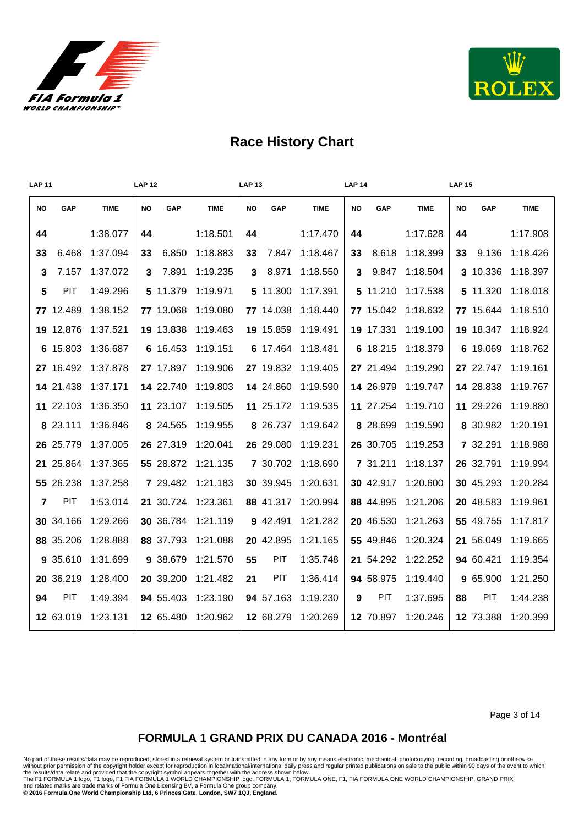



| <b>LAP 11</b> |           |             | <b>LAP 12</b> |           |             | <b>LAP 13</b> |           |             | <b>LAP 14</b> |            |             | <b>LAP 15</b> |           |             |
|---------------|-----------|-------------|---------------|-----------|-------------|---------------|-----------|-------------|---------------|------------|-------------|---------------|-----------|-------------|
| <b>NO</b>     | GAP       | <b>TIME</b> | <b>NO</b>     | GAP       | <b>TIME</b> | <b>NO</b>     | GAP       | <b>TIME</b> | <b>NO</b>     | GAP        | <b>TIME</b> | <b>NO</b>     | GAP       | <b>TIME</b> |
| 44            |           | 1:38.077    | 44            |           | 1:18.501    | 44            |           | 1:17.470    | 44            |            | 1:17.628    | 44            |           | 1:17.908    |
| 33            | 6.468     | 1:37.094    | 33            | 6.850     | 1:18.883    | 33            | 7.847     | 1:18.467    | 33            | 8.618      | 1:18.399    | 33            | 9.136     | 1:18.426    |
| 3             | 7.157     | 1:37.072    | 3             | 7.891     | 1:19.235    | 3             | 8.971     | 1:18.550    | 3             | 9.847      | 1:18.504    |               | 3 10.336  | 1:18.397    |
| 5             | PIT       | 1:49.296    |               | 5 11.379  | 1:19.971    |               | 5 11.300  | 1:17.391    |               | 5 11.210   | 1:17.538    |               | 5 11.320  | 1:18.018    |
|               | 77 12.489 | 1:38.152    |               | 77 13.068 | 1:19.080    |               | 77 14.038 | 1:18.440    |               | 77 15.042  | 1:18.632    |               | 77 15.644 | 1:18.510    |
|               | 19 12.876 | 1:37.521    |               | 19 13.838 | 1:19.463    |               | 19 15.859 | 1:19.491    |               | 19 17.331  | 1:19.100    |               | 19 18.347 | 1:18.924    |
|               | 6 15.803  | 1:36.687    |               | 6 16.453  | 1:19.151    |               | 6 17.464  | 1:18.481    |               | 6 18.215   | 1:18.379    |               | 6 19.069  | 1:18.762    |
|               | 27 16.492 | 1:37.878    |               | 27 17.897 | 1:19.906    |               | 27 19.832 | 1:19.405    |               | 27 21.494  | 1:19.290    |               | 27 22.747 | 1:19.161    |
|               | 14 21.438 | 1:37.171    |               | 14 22.740 | 1:19.803    |               | 14 24.860 | 1:19.590    |               | 14 26.979  | 1:19.747    |               | 14 28.838 | 1:19.767    |
|               | 11 22.103 | 1:36.350    |               | 11 23.107 | 1:19.505    |               | 11 25.172 | 1:19.535    |               | 11 27.254  | 1:19.710    |               | 11 29.226 | 1:19.880    |
|               | 8 23.111  | 1:36.846    |               | 8 24.565  | 1:19.955    |               | 8 26.737  | 1:19.642    |               | 8 28.699   | 1:19.590    |               | 8 30.982  | 1:20.191    |
|               | 26 25.779 | 1:37.005    |               | 26 27.319 | 1:20.041    |               | 26 29.080 | 1:19.231    |               | 26 30.705  | 1:19.253    |               | 7 32.291  | 1:18.988    |
|               | 21 25.864 | 1:37.365    |               | 55 28.872 | 1:21.135    |               | 7 30.702  | 1:18.690    |               | 7 31.211   | 1:18.137    |               | 26 32.791 | 1:19.994    |
|               | 55 26.238 | 1:37.258    |               | 7 29.482  | 1:21.183    |               | 30 39.945 | 1:20.631    |               | 30 42.917  | 1:20.600    |               | 30 45.293 | 1:20.284    |
| 7             | PIT       | 1:53.014    |               | 21 30.724 | 1:23.361    |               | 88 41.317 | 1:20.994    |               | 88 44.895  | 1:21.206    |               | 20 48.583 | 1:19.961    |
|               | 30 34.166 | 1:29.266    |               | 30 36.784 | 1:21.119    |               | 9 42.491  | 1:21.282    |               | 20 46.530  | 1:21.263    |               | 55 49.755 | 1:17.817    |
|               | 88 35.206 | 1:28.888    |               | 88 37.793 | 1:21.088    |               | 20 42.895 | 1:21.165    |               | 55 49.846  | 1:20.324    |               | 21 56.049 | 1:19.665    |
|               | 9 35.610  | 1:31.699    |               | 9 38.679  | 1:21.570    | 55            | PIT       | 1:35.748    |               | 21 54.292  | 1:22.252    |               | 94 60.421 | 1:19.354    |
|               | 20 36.219 | 1:28.400    |               | 20 39.200 | 1:21.482    | 21            | PIT       | 1:36.414    |               | 94 58.975  | 1:19.440    |               | 9 65.900  | 1:21.250    |
| 94            | PIT       | 1:49.394    |               | 94 55.403 | 1:23.190    |               | 94 57.163 | 1:19.230    | 9             | <b>PIT</b> | 1:37.695    | 88            | PIT       | 1:44.238    |
|               | 12 63.019 | 1:23.131    |               | 12 65.480 | 1:20.962    |               | 12 68.279 | 1:20.269    |               | 12 70.897  | 1:20.246    |               | 12 73.388 | 1:20.399    |

Page 3 of 14

#### **FORMULA 1 GRAND PRIX DU CANADA 2016 - Montréal**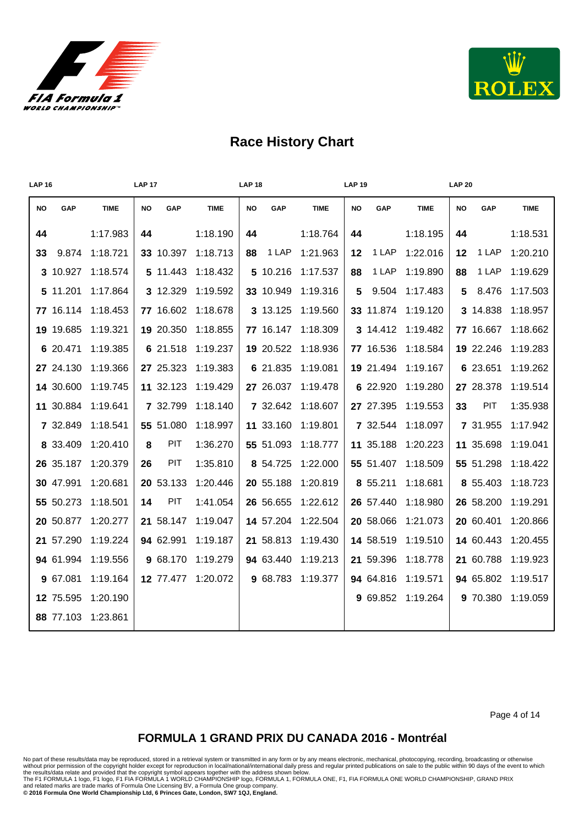



| <b>LAP 16</b> |           |             | <b>LAP 17</b> |           |             | <b>LAP 18</b> |           |             | <b>LAP 19</b> |           |             | <b>LAP 20</b> |           |             |
|---------------|-----------|-------------|---------------|-----------|-------------|---------------|-----------|-------------|---------------|-----------|-------------|---------------|-----------|-------------|
| <b>NO</b>     | GAP       | <b>TIME</b> | <b>NO</b>     | GAP       | <b>TIME</b> | <b>NO</b>     | GAP       | <b>TIME</b> | <b>NO</b>     | GAP       | <b>TIME</b> | <b>NO</b>     | GAP       | <b>TIME</b> |
| 44            |           | 1:17.983    | 44            |           | 1:18.190    | 44            |           | 1:18.764    | 44            |           | 1:18.195    | 44            |           | 1:18.531    |
| 33            | 9.874     | 1:18.721    |               | 33 10.397 | 1:18.713    | 88            | 1 LAP     | 1:21.963    | $12 \,$       | 1 LAP     | 1:22.016    | 12            | 1 LAP     | 1:20.210    |
|               | 3 10.927  | 1:18.574    |               | 5 11.443  | 1:18.432    |               | 5 10.216  | 1:17.537    | 88            | 1 LAP     | 1:19.890    | 88            | 1 LAP     | 1:19.629    |
|               | 5 11.201  | 1:17.864    |               | 3 12.329  | 1:19.592    |               | 33 10.949 | 1:19.316    | 5             | 9.504     | 1:17.483    | 5.            | 8.476     | 1:17.503    |
|               | 77 16.114 | 1:18.453    |               | 77 16.602 | 1:18.678    |               | 3 13.125  | 1:19.560    |               | 33 11.874 | 1:19.120    |               | 3 14.838  | 1:18.957    |
|               | 19 19.685 | 1:19.321    |               | 19 20.350 | 1:18.855    |               | 77 16.147 | 1:18.309    |               | 3 14.412  | 1:19.482    |               | 77 16.667 | 1:18.662    |
|               | 6 20.471  | 1:19.385    |               | 6 21.518  | 1:19.237    |               | 19 20.522 | 1:18.936    |               | 77 16.536 | 1:18.584    |               | 19 22.246 | 1:19.283    |
|               | 27 24.130 | 1:19.366    |               | 27 25.323 | 1:19.383    |               | 6 21.835  | 1:19.081    |               | 19 21.494 | 1:19.167    |               | 6 23.651  | 1:19.262    |
|               | 14 30.600 | 1:19.745    |               | 11 32.123 | 1:19.429    |               | 27 26.037 | 1:19.478    |               | 6 22.920  | 1:19.280    |               | 27 28.378 | 1:19.514    |
|               | 11 30.884 | 1:19.641    |               | 7 32.799  | 1:18.140    |               | 7 32.642  | 1:18.607    |               | 27 27.395 | 1:19.553    | 33            | PIT       | 1:35.938    |
|               | 7 32.849  | 1:18.541    |               | 55 51.080 | 1:18.997    |               | 11 33.160 | 1:19.801    |               | 7 32.544  | 1:18.097    |               | 7 31.955  | 1:17.942    |
|               | 8 33.409  | 1:20.410    | 8             | PIT       | 1:36.270    |               | 55 51.093 | 1:18.777    |               | 11 35.188 | 1:20.223    |               | 11 35.698 | 1:19.041    |
|               | 26 35.187 | 1:20.379    | 26            | PIT       | 1:35.810    |               | 8 54.725  | 1:22.000    |               | 55 51.407 | 1:18.509    |               | 55 51.298 | 1:18.422    |
|               | 30 47.991 | 1:20.681    |               | 20 53.133 | 1:20.446    |               | 20 55.188 | 1:20.819    |               | 8 55.211  | 1:18.681    |               | 8 55.403  | 1:18.723    |
|               | 55 50.273 | 1:18.501    | 14            | PIT       | 1:41.054    |               | 26 56.655 | 1:22.612    |               | 26 57.440 | 1:18.980    |               | 26 58.200 | 1:19.291    |
|               | 20 50.877 | 1:20.277    |               | 21 58.147 | 1:19.047    |               | 14 57.204 | 1:22.504    |               | 20 58.066 | 1:21.073    |               | 20 60.401 | 1:20.866    |
|               | 21 57.290 | 1:19.224    |               | 94 62.991 | 1:19.187    |               | 21 58.813 | 1:19.430    |               | 14 58.519 | 1:19.510    |               | 14 60.443 | 1:20.455    |
|               | 94 61.994 | 1:19.556    |               | 9 68.170  | 1:19.279    |               | 94 63.440 | 1:19.213    |               | 21 59.396 | 1:18.778    |               | 21 60.788 | 1:19.923    |
|               | 9 67.081  | 1:19.164    |               | 12 77.477 | 1:20.072    |               | 9 68.783  | 1:19.377    |               | 94 64.816 | 1:19.571    |               | 94 65.802 | 1:19.517    |
|               | 12 75.595 | 1:20.190    |               |           |             |               |           |             |               | 9 69.852  | 1:19.264    |               | 9 70.380  | 1:19.059    |
|               | 88 77.103 | 1:23.861    |               |           |             |               |           |             |               |           |             |               |           |             |

Page 4 of 14

#### **FORMULA 1 GRAND PRIX DU CANADA 2016 - Montréal**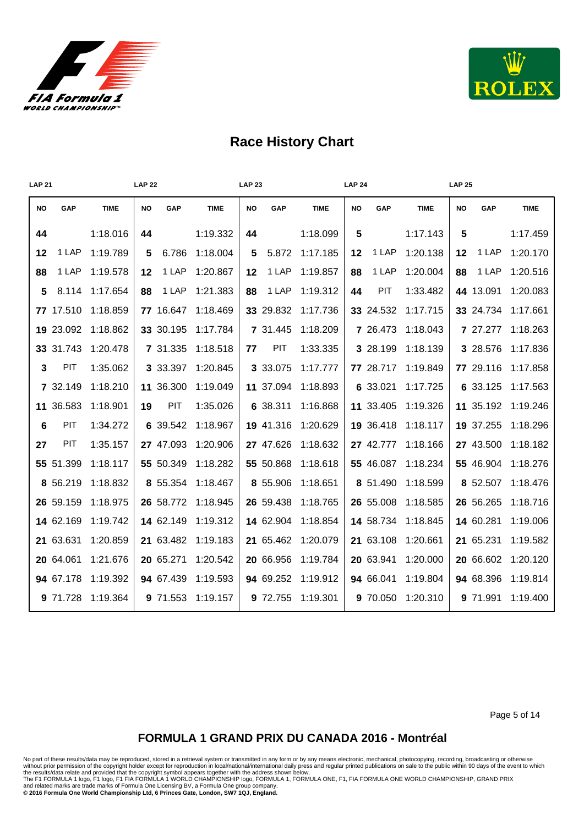



| <b>LAP 21</b> |           |             | <b>LAP 22</b> |           |             | <b>LAP 23</b> |           |             | <b>LAP 24</b> |           |             | <b>LAP 25</b> |           |             |
|---------------|-----------|-------------|---------------|-----------|-------------|---------------|-----------|-------------|---------------|-----------|-------------|---------------|-----------|-------------|
| <b>NO</b>     | GAP       | <b>TIME</b> | <b>NO</b>     | GAP       | <b>TIME</b> | <b>NO</b>     | GAP       | <b>TIME</b> | <b>NO</b>     | GAP       | <b>TIME</b> | <b>NO</b>     | GAP       | <b>TIME</b> |
| 44            |           | 1:18.016    | 44            |           | 1:19.332    | 44            |           | 1:18.099    | 5             |           | 1:17.143    | 5             |           | 1:17.459    |
| 12            | 1 LAP     | 1:19.789    | 5             | 6.786     | 1:18.004    | 5             | 5.872     | 1:17.185    | 12            | 1 LAP     | 1:20.138    | 12            | 1 LAP     | 1:20.170    |
| 88            | 1 LAP     | 1:19.578    | 12            | 1 LAP     | 1:20.867    | 12            | 1 LAP     | 1:19.857    | 88            | 1 LAP     | 1:20.004    | 88            | 1 LAP     | 1:20.516    |
| 5             | 8.114     | 1:17.654    | 88            | 1 LAP     | 1:21.383    | 88            | 1 LAP     | 1:19.312    | 44            | PIT       | 1:33.482    |               | 44 13.091 | 1:20.083    |
|               | 77 17.510 | 1:18.859    |               | 77 16.647 | 1:18.469    |               | 33 29.832 | 1:17.736    |               | 33 24.532 | 1:17.715    |               | 33 24.734 | 1:17.661    |
|               | 19 23.092 | 1:18.862    |               | 33 30.195 | 1:17.784    |               | 7 31.445  | 1:18.209    |               | 7 26.473  | 1:18.043    |               | 7 27.277  | 1:18.263    |
|               | 33 31.743 | 1:20.478    |               | 7 31.335  | 1:18.518    | 77            | PIT       | 1:33.335    |               | 3 28.199  | 1:18.139    |               | 3 28.576  | 1:17.836    |
| 3             | PIT       | 1:35.062    |               | 3 33.397  | 1:20.845    |               | 3 33.075  | 1:17.777    |               | 77 28.717 | 1:19.849    |               | 77 29.116 | 1:17.858    |
|               | 7 32.149  | 1:18.210    |               | 11 36.300 | 1:19.049    |               | 11 37.094 | 1:18.893    |               | 6 33.021  | 1:17.725    |               | 6 33.125  | 1:17.563    |
|               | 11 36.583 | 1:18.901    | 19            | PIT       | 1:35.026    |               | 6 38.311  | 1:16.868    |               | 11 33.405 | 1:19.326    |               | 11 35.192 | 1:19.246    |
| 6             | PIT       | 1:34.272    |               | 6 39.542  | 1:18.967    |               | 19 41.316 | 1:20.629    |               | 19 36.418 | 1:18.117    |               | 19 37.255 | 1:18.296    |
| 27            | PIT       | 1:35.157    |               | 27 47.093 | 1:20.906    |               | 27 47.626 | 1:18.632    |               | 27 42.777 | 1:18.166    |               | 27 43.500 | 1:18.182    |
|               | 55 51.399 | 1:18.117    |               | 55 50.349 | 1:18.282    |               | 55 50.868 | 1:18.618    |               | 55 46.087 | 1:18.234    |               | 55 46.904 | 1:18.276    |
|               | 8 56.219  | 1:18.832    |               | 8 55.354  | 1:18.467    |               | 8 55.906  | 1:18.651    |               | 8 51.490  | 1:18.599    |               | 8 52.507  | 1:18.476    |
|               | 26 59.159 | 1:18.975    |               | 26 58.772 | 1:18.945    |               | 26 59.438 | 1:18.765    |               | 26 55.008 | 1:18.585    |               | 26 56.265 | 1:18.716    |
|               | 14 62.169 | 1:19.742    |               | 14 62.149 | 1:19.312    |               | 14 62.904 | 1:18.854    |               | 14 58.734 | 1:18.845    |               | 14 60.281 | 1:19.006    |
|               | 21 63.631 | 1:20.859    |               | 21 63.482 | 1:19.183    |               | 21 65.462 | 1:20.079    |               | 21 63.108 | 1:20.661    |               | 21 65.231 | 1:19.582    |
|               | 20 64.061 | 1:21.676    |               | 20 65.271 | 1:20.542    |               | 20 66.956 | 1:19.784    |               | 20 63.941 | 1:20.000    |               | 20 66.602 | 1:20.120    |
|               | 94 67.178 | 1:19.392    |               | 94 67.439 | 1:19.593    |               | 94 69.252 | 1:19.912    |               | 94 66.041 | 1:19.804    |               | 94 68.396 | 1:19.814    |
|               | 9 71.728  | 1:19.364    |               | 9 71.553  | 1:19.157    |               | 9 72.755  | 1:19.301    |               | 9 70.050  | 1:20.310    |               | 9 71.991  | 1:19.400    |

Page 5 of 14

#### **FORMULA 1 GRAND PRIX DU CANADA 2016 - Montréal**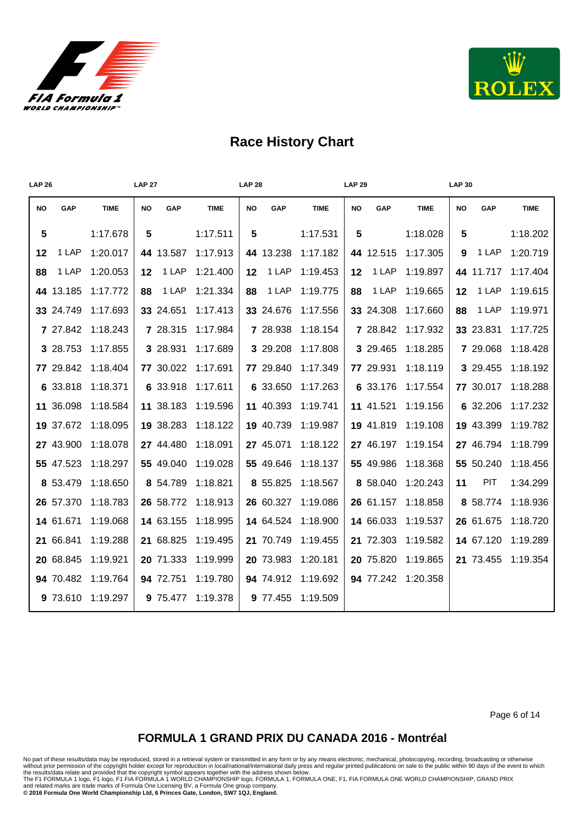



| <b>LAP 26</b> |           |             | <b>LAP 27</b>    |             | <b>LAP 28</b>    |             | <b>LAP 29</b>    |             | <b>LAP 30</b>    |             |
|---------------|-----------|-------------|------------------|-------------|------------------|-------------|------------------|-------------|------------------|-------------|
| <b>NO</b>     | GAP       | <b>TIME</b> | <b>NO</b><br>GAP | <b>TIME</b> | <b>NO</b><br>GAP | <b>TIME</b> | <b>NO</b><br>GAP | <b>TIME</b> | <b>NO</b><br>GAP | <b>TIME</b> |
| 5             |           | 1:17.678    | 5                | 1:17.511    | 5                | 1:17.531    | 5                | 1:18.028    | 5                | 1:18.202    |
| 12            | 1 LAP     | 1:20.017    | 44 13.587        | 1:17.913    | 44 13.238        | 1:17.182    | 44 12.515        | 1:17.305    | 1 LAP<br>9       | 1:20.719    |
| 88            | 1 LAP     | 1:20.053    | 1 LAP<br>12      | 1:21.400    | 1 LAP<br>12      | 1:19.453    | 1 LAP<br>12      | 1:19.897    | 44 11.717        | 1:17.404    |
|               | 44 13.185 | 1:17.772    | 1 LAP<br>88      | 1:21.334    | 1 LAP<br>88      | 1:19.775    | 1 LAP<br>88      | 1:19.665    | 1 LAP<br>$12 \,$ | 1:19.615    |
|               | 33 24.749 | 1:17.693    | 33 24.651        | 1:17.413    | 33 24.676        | 1:17.556    | 33 24.308        | 1:17.660    | 1 LAP<br>88      | 1:19.971    |
|               | 7 27.842  | 1:18.243    | 7 28.315         | 1:17.984    | 7 28.938         | 1:18.154    | 7 28.842         | 1:17.932    | 33 23.831        | 1:17.725    |
|               | 3 28.753  | 1:17.855    | 3 28.931         | 1:17.689    | 3 29.208         | 1:17.808    | 3 29.465         | 1:18.285    | 7 29.068         | 1:18.428    |
|               | 77 29.842 | 1:18.404    | 77 30.022        | 1:17.691    | 77 29.840        | 1:17.349    | 77 29.931        | 1:18.119    | 3 29.455         | 1:18.192    |
|               | 6 33.818  | 1:18.371    | 6 33.918         | 1:17.611    | 6 33.650         | 1:17.263    | 6 33.176         | 1:17.554    | 77 30.017        | 1:18.288    |
|               | 11 36.098 | 1:18.584    | 11 38.183        | 1:19.596    | 11 40.393        | 1:19.741    | 11 41.521        | 1:19.156    | 6 32.206         | 1:17.232    |
|               | 19 37.672 | 1:18.095    | 19 38.283        | 1:18.122    | 19 40.739        | 1:19.987    | 19 41.819        | 1:19.108    | 19 43.399        | 1:19.782    |
|               | 27 43.900 | 1:18.078    | 27 44.480        | 1:18.091    | 27 45.071        | 1:18.122    | 27 46.197        | 1:19.154    | 27 46.794        | 1:18.799    |
|               | 55 47.523 | 1:18.297    | 55 49.040        | 1:19.028    | 55 49.646        | 1:18.137    | 55 49.986        | 1:18.368    | 55 50.240        | 1:18.456    |
|               | 8 53.479  | 1:18.650    | 8 54.789         | 1:18.821    | 8 55.825         | 1:18.567    | 8 58.040         | 1:20.243    | <b>PIT</b><br>11 | 1:34.299    |
|               | 26 57.370 | 1:18.783    | 26 58.772        | 1:18.913    | 26 60.327        | 1:19.086    | 26 61.157        | 1:18.858    | 8 58.774         | 1:18.936    |
|               | 14 61.671 | 1:19.068    | 14 63.155        | 1:18.995    | 14 64.524        | 1:18.900    | 14 66.033        | 1:19.537    | 26 61.675        | 1:18.720    |
|               | 21 66.841 | 1:19.288    | 21 68.825        | 1:19.495    | 21 70.749        | 1:19.455    | 21 72.303        | 1:19.582    | 14 67.120        | 1:19.289    |
|               | 20 68.845 | 1:19.921    | 20 71.333        | 1:19.999    | 20 73.983        | 1:20.181    | 20 75.820        | 1:19.865    | 21 73.455        | 1:19.354    |
|               | 94 70.482 | 1:19.764    | 94 72.751        | 1:19.780    | 94 74.912        | 1:19.692    | 94 77.242        | 1:20.358    |                  |             |
|               | 9 73.610  | 1:19.297    | 9 75.477         | 1:19.378    | 9 77.455         | 1:19.509    |                  |             |                  |             |

Page 6 of 14

#### **FORMULA 1 GRAND PRIX DU CANADA 2016 - Montréal**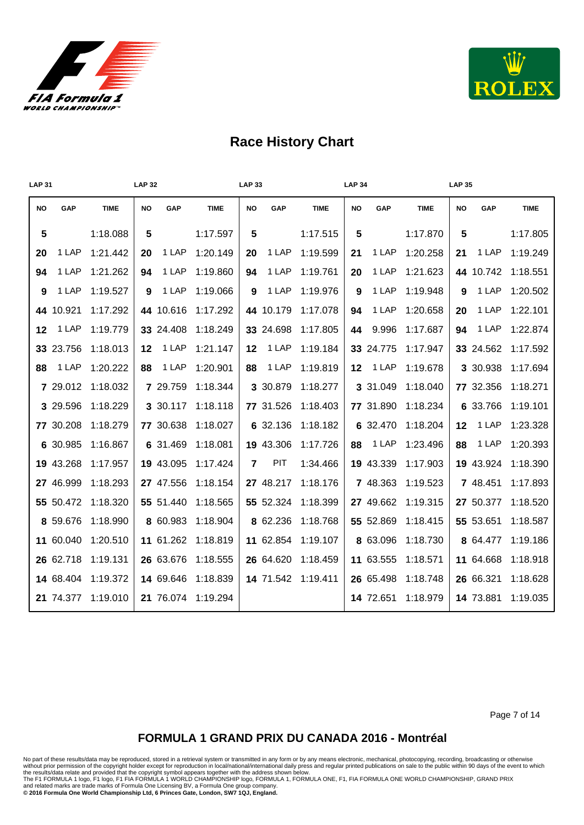



| <b>LAP 31</b> |           |             | <b>LAP 32</b> |           |             | <b>LAP 33</b>  |           |             | <b>LAP 34</b> |           |             | <b>LAP 35</b> |           |             |
|---------------|-----------|-------------|---------------|-----------|-------------|----------------|-----------|-------------|---------------|-----------|-------------|---------------|-----------|-------------|
| <b>NO</b>     | GAP       | <b>TIME</b> | <b>NO</b>     | GAP       | <b>TIME</b> | <b>NO</b>      | GAP       | <b>TIME</b> | <b>NO</b>     | GAP       | <b>TIME</b> | <b>NO</b>     | GAP       | <b>TIME</b> |
| 5             |           | 1:18.088    | 5             |           | 1:17.597    | 5              |           | 1:17.515    | 5             |           | 1:17.870    | 5             |           | 1:17.805    |
| 20            | 1 LAP     | 1:21.442    | 20            | 1 LAP     | 1:20.149    | 20             | 1 LAP     | 1:19.599    | 21            | 1 LAP     | 1:20.258    | 21            | 1 LAP     | 1:19.249    |
| 94            | 1 LAP     | 1:21.262    | 94            | 1 LAP     | 1:19.860    | 94             | 1 LAP     | 1:19.761    | 20            | 1 LAP     | 1:21.623    |               | 44 10.742 | 1:18.551    |
| 9             | 1 LAP     | 1:19.527    | 9             | 1 LAP     | 1:19.066    | 9              | 1 LAP     | 1:19.976    | 9             | 1 LAP     | 1:19.948    | 9             | 1 LAP     | 1:20.502    |
|               | 44 10.921 | 1:17.292    |               | 44 10.616 | 1:17.292    |                | 44 10.179 | 1:17.078    | 94            | 1 LAP     | 1:20.658    | 20            | 1 LAP     | 1:22.101    |
| $12 \,$       | 1 LAP     | 1:19.779    |               | 33 24.408 | 1:18.249    |                | 33 24.698 | 1:17.805    | 44            | 9.996     | 1:17.687    | 94            | 1 LAP     | 1:22.874    |
|               | 33 23.756 | 1:18.013    | 12            | 1 LAP     | 1:21.147    | 12             | 1 LAP     | 1:19.184    |               | 33 24.775 | 1:17.947    |               | 33 24.562 | 1:17.592    |
| 88            | 1 LAP     | 1:20.222    | 88            | 1 LAP     | 1:20.901    | 88             | 1 LAP     | 1:19.819    | 12            | 1 LAP     | 1:19.678    |               | 3 30.938  | 1:17.694    |
|               | 7 29.012  | 1:18.032    |               | 7 29.759  | 1:18.344    |                | 3 30.879  | 1:18.277    |               | 3 31.049  | 1:18.040    |               | 77 32.356 | 1:18.271    |
|               | 3 29.596  | 1:18.229    |               | 3 30.117  | 1:18.118    |                | 77 31.526 | 1:18.403    |               | 77 31.890 | 1:18.234    |               | 6 33.766  | 1:19.101    |
|               | 77 30.208 | 1:18.279    |               | 77 30.638 | 1:18.027    |                | 6 32.136  | 1:18.182    |               | 6 32.470  | 1:18.204    | 12            | 1 LAP     | 1:23.328    |
|               | 6 30.985  | 1:16.867    |               | 6 31.469  | 1:18.081    |                | 19 43.306 | 1:17.726    | 88            | 1 LAP     | 1:23.496    | 88            | 1 LAP     | 1:20.393    |
|               | 19 43.268 | 1:17.957    |               | 19 43.095 | 1:17.424    | $\overline{7}$ | PIT       | 1:34.466    |               | 19 43.339 | 1:17.903    |               | 19 43.924 | 1:18.390    |
|               | 27 46.999 | 1:18.293    |               | 27 47.556 | 1:18.154    |                | 27 48.217 | 1:18.176    |               | 7 48.363  | 1:19.523    |               | 7 48.451  | 1:17.893    |
|               | 55 50.472 | 1:18.320    |               | 55 51.440 | 1:18.565    |                | 55 52.324 | 1:18.399    |               | 27 49.662 | 1:19.315    |               | 27 50.377 | 1:18.520    |
|               | 8 59.676  | 1:18.990    |               | 8 60.983  | 1:18.904    |                | 8 62.236  | 1:18.768    |               | 55 52.869 | 1:18.415    |               | 55 53.651 | 1:18.587    |
|               | 11 60.040 | 1:20.510    |               | 11 61.262 | 1:18.819    |                | 11 62.854 | 1:19.107    |               | 8 63.096  | 1:18.730    |               | 8 64.477  | 1:19.186    |
|               | 26 62.718 | 1:19.131    |               | 26 63.676 | 1:18.555    |                | 26 64.620 | 1:18.459    |               | 11 63.555 | 1:18.571    |               | 11 64.668 | 1:18.918    |
|               | 14 68.404 | 1:19.372    |               | 14 69.646 | 1:18.839    |                | 14 71.542 | 1:19.411    |               | 26 65.498 | 1:18.748    |               | 26 66.321 | 1:18.628    |
|               | 21 74.377 | 1:19.010    |               | 21 76.074 | 1:19.294    |                |           |             |               | 14 72.651 | 1:18.979    |               | 14 73.881 | 1:19.035    |

Page 7 of 14

### **FORMULA 1 GRAND PRIX DU CANADA 2016 - Montréal**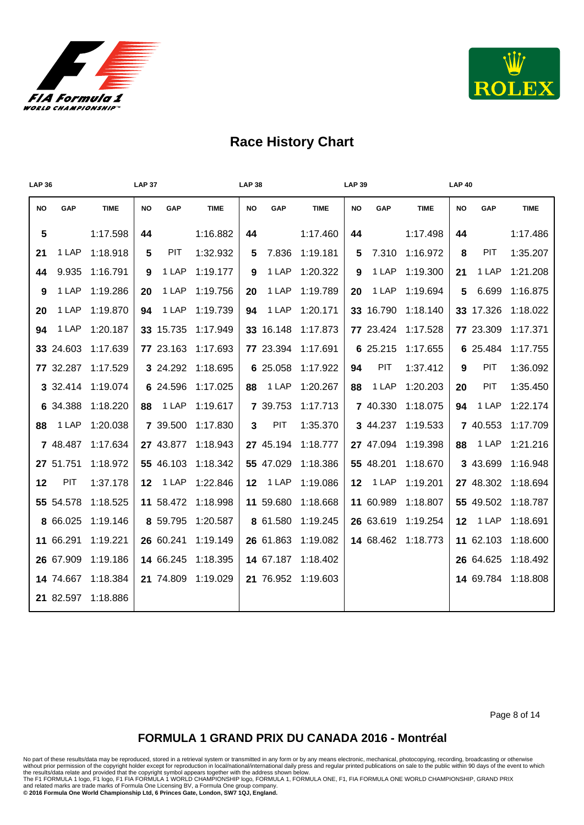



| <b>LAP 36</b> |           |             | <b>LAP 37</b>    |            |             | <b>LAP 38</b>   |           |             | <b>LAP 39</b>   |           |             | <b>LAP 40</b> |                 |             |
|---------------|-----------|-------------|------------------|------------|-------------|-----------------|-----------|-------------|-----------------|-----------|-------------|---------------|-----------------|-------------|
| <b>NO</b>     | GAP       | <b>TIME</b> | <b>NO</b>        | GAP        | <b>TIME</b> | <b>NO</b>       | GAP       | <b>TIME</b> | <b>NO</b>       | GAP       | <b>TIME</b> | <b>NO</b>     | GAP             | <b>TIME</b> |
| 5             |           | 1:17.598    | 44               |            | 1:16.882    | 44              |           | 1:17.460    | 44              |           | 1:17.498    | 44            |                 | 1:17.486    |
| 21            | 1 LAP     | 1:18.918    | 5                | <b>PIT</b> | 1:32.932    | 5               | 7.836     | 1:19.181    | 5               | 7.310     | 1:16.972    | 8             | PIT             | 1:35.207    |
| 44            | 9.935     | 1:16.791    | 9                | 1 LAP      | 1:19.177    | 9               | 1 LAP     | 1:20.322    | 9               | 1 LAP     | 1:19.300    | 21            | 1 LAP           | 1:21.208    |
| 9             | 1 LAP     | 1:19.286    | 20               | 1 LAP      | 1:19.756    | 20              | 1 LAP     | 1:19.789    | 20              | 1 LAP     | 1:19.694    | 5             | 6.699           | 1:16.875    |
| 20            | 1 LAP     | 1:19.870    | 94               | 1 LAP      | 1:19.739    | 94              | 1 LAP     | 1:20.171    |                 | 33 16.790 | 1:18.140    |               | 33 17.326       | 1:18.022    |
| 94            | 1 LAP     | 1:20.187    |                  | 33 15.735  | 1:17.949    |                 | 33 16.148 | 1:17.873    |                 | 77 23.424 | 1:17.528    |               | 77 23.309       | 1:17.371    |
|               | 33 24.603 | 1:17.639    |                  | 77 23.163  | 1:17.693    |                 | 77 23.394 | 1:17.691    |                 | 6 25.215  | 1:17.655    |               | 6 25.484        | 1:17.755    |
|               | 77 32.287 | 1:17.529    |                  | 3 24.292   | 1:18.695    |                 | 6 25.058  | 1:17.922    | 94              | PIT       | 1:37.412    | 9             | <b>PIT</b>      | 1:36.092    |
|               | 3 32.414  | 1:19.074    |                  | 6 24.596   | 1:17.025    | 88              | 1 LAP     | 1:20.267    | 88              | 1 LAP     | 1:20.203    | 20            | <b>PIT</b>      | 1:35.450    |
|               | 6 34.388  | 1:18.220    | 88               | 1 LAP      | 1:19.617    |                 | 7 39.753  | 1:17.713    |                 | 7 40.330  | 1:18.075    | 94            | 1 LAP           | 1:22.174    |
| 88            | 1 LAP     | 1:20.038    |                  | 7 39.500   | 1:17.830    | 3               | PIT       | 1:35.370    |                 | 3 44.237  | 1:19.533    |               | 7 40.553        | 1:17.709    |
|               | 7 48.487  | 1:17.634    |                  | 27 43.877  | 1:18.943    |                 | 27 45.194 | 1:18.777    |                 | 27 47.094 | 1:19.398    | 88            | 1 LAP           | 1:21.216    |
|               | 27 51.751 | 1:18.972    |                  | 55 46.103  | 1:18.342    |                 | 55 47.029 | 1:18.386    |                 | 55 48.201 | 1:18.670    |               | 3 43.699        | 1:16.948    |
| 12            | PIT       | 1:37.178    | 12 <sup>12</sup> | 1 LAP      | 1:22.846    | 12 <sub>2</sub> | 1 LAP     | 1:19.086    | 12 <sup>2</sup> | 1 LAP     | 1:19.201    |               | 27 48.302       | 1:18.694    |
|               | 55 54.578 | 1:18.525    |                  | 11 58.472  | 1:18.998    |                 | 11 59.680 | 1:18.668    |                 | 11 60.989 | 1:18.807    |               | 55 49.502       | 1:18.787    |
|               | 8 66.025  | 1:19.146    |                  | 8 59.795   | 1:20.587    |                 | 8 61.580  | 1:19.245    |                 | 26 63.619 | 1:19.254    |               | <b>12</b> 1 LAP | 1:18.691    |
|               | 11 66.291 | 1:19.221    |                  | 26 60.241  | 1:19.149    |                 | 26 61.863 | 1:19.082    |                 | 14 68.462 | 1:18.773    |               | 11 62.103       | 1:18.600    |
|               | 26 67.909 | 1:19.186    |                  | 14 66.245  | 1:18.395    |                 | 14 67.187 | 1:18.402    |                 |           |             |               | 26 64.625       | 1:18.492    |
|               | 14 74.667 | 1:18.384    |                  | 21 74.809  | 1:19.029    |                 | 21 76.952 | 1:19.603    |                 |           |             |               | 14 69.784       | 1:18.808    |
|               | 21 82.597 | 1:18.886    |                  |            |             |                 |           |             |                 |           |             |               |                 |             |

Page 8 of 14

#### **FORMULA 1 GRAND PRIX DU CANADA 2016 - Montréal**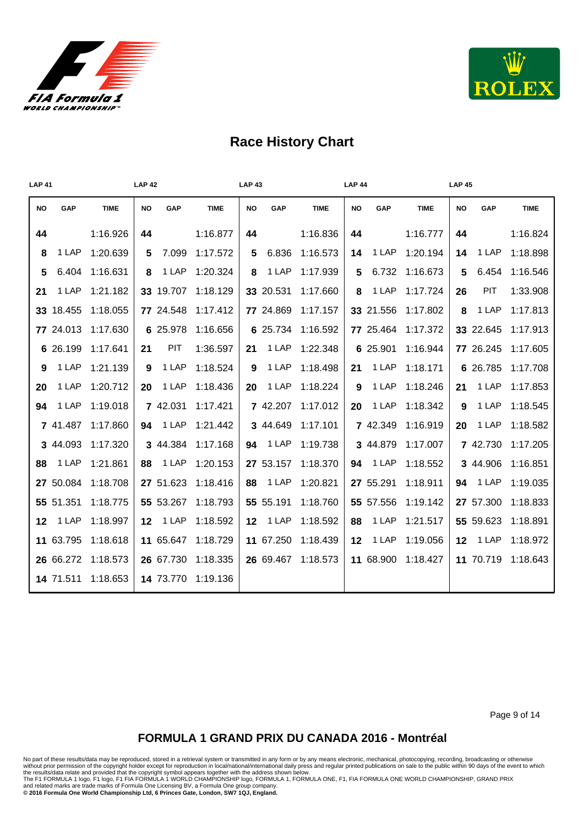



| <b>LAP 41</b>   |           |             | <b>LAP 42</b> |           |             | <b>LAP 43</b> |           |             | <b>LAP 44</b> |           |             | <b>LAP 45</b> |            |             |
|-----------------|-----------|-------------|---------------|-----------|-------------|---------------|-----------|-------------|---------------|-----------|-------------|---------------|------------|-------------|
| <b>NO</b>       | GAP       | <b>TIME</b> | NO            | GAP       | <b>TIME</b> | NO            | GAP       | <b>TIME</b> | NO            | GAP       | <b>TIME</b> | <b>NO</b>     | GAP        | <b>TIME</b> |
| 44              |           | 1:16.926    | 44            |           | 1:16.877    | 44            |           | 1:16.836    | 44            |           | 1:16.777    | 44            |            | 1:16.824    |
| 8               | 1 LAP     | 1:20.639    | 5             | 7.099     | 1:17.572    | 5             | 6.836     | 1:16.573    | 14            | 1 LAP     | 1:20.194    | 14            | 1 LAP      | 1:18.898    |
| $5\phantom{.0}$ | 6.404     | 1:16.631    | 8             | 1 LAP     | 1:20.324    | 8             | 1 LAP     | 1:17.939    | 5             | 6.732     | 1:16.673    | 5             | 6.454      | 1:16.546    |
| 21              | 1 LAP     | 1:21.182    |               | 33 19.707 | 1:18.129    |               | 33 20.531 | 1:17.660    | 8             | 1 LAP     | 1:17.724    | 26            | <b>PIT</b> | 1:33.908    |
|                 | 33 18.455 | 1:18.055    |               | 77 24.548 | 1:17.412    |               | 77 24.869 | 1:17.157    |               | 33 21.556 | 1:17.802    | 8             | 1 LAP      | 1:17.813    |
|                 | 77 24.013 | 1:17.630    |               | 6 25.978  | 1:16.656    |               | 6 25.734  | 1:16.592    |               | 77 25.464 | 1:17.372    |               | 33 22.645  | 1:17.913    |
|                 | 6 26.199  | 1:17.641    | 21            | PIT       | 1:36.597    | 21            | 1 LAP     | 1:22.348    |               | 6 25.901  | 1:16.944    |               | 77 26.245  | 1:17.605    |
| 9               | 1 LAP     | 1:21.139    | 9             | 1 LAP     | 1:18.524    | 9             | 1 LAP     | 1:18.498    | 21            | 1 LAP     | 1:18.171    |               | 6 26.785   | 1:17.708    |
| 20              | 1 LAP     | 1:20.712    | 20            | 1 LAP     | 1:18.436    | 20            | 1 LAP     | 1:18.224    | 9             | 1 LAP     | 1:18.246    | 21            | 1 LAP      | 1:17.853    |
| 94              | 1 LAP     | 1:19.018    |               | 7 42.031  | 1:17.421    |               | 7 42.207  | 1:17.012    | 20            | 1 LAP     | 1:18.342    | 9             | 1 LAP      | 1:18.545    |
|                 | 7 41.487  | 1:17.860    | 94            | 1 LAP     | 1:21.442    |               | 3 44.649  | 1:17.101    |               | 7 42.349  | 1:16.919    | 20            | 1 LAP      | 1:18.582    |
|                 | 3 44.093  | 1:17.320    |               | 3 44.384  | 1:17.168    | 94            | 1 LAP     | 1:19.738    |               | 3 44.879  | 1:17.007    |               | 7 42.730   | 1:17.205    |
| 88              | 1 LAP     | 1:21.861    | 88            | 1 LAP     | 1:20.153    |               | 27 53.157 | 1:18.370    | 94            | 1 LAP     | 1:18.552    |               | 3 44.906   | 1:16.851    |
|                 | 27 50.084 | 1:18.708    |               | 27 51.623 | 1:18.416    | 88            | 1 LAP     | 1:20.821    |               | 27 55.291 | 1:18.911    | 94            | 1 LAP      | 1:19.035    |
|                 | 55 51.351 | 1:18.775    |               | 55 53.267 | 1:18.793    |               | 55 55.191 | 1:18.760    |               | 55 57.556 | 1:19.142    |               | 27 57.300  | 1:18.833    |
| $12 \,$         | 1 LAP     | 1:18.997    | 12            | 1 LAP     | 1:18.592    | $12 \,$       | 1 LAP     | 1:18.592    | 88            | 1 LAP     | 1:21.517    |               | 55 59.623  | 1:18.891    |
|                 | 11 63.795 | 1:18.618    |               | 11 65.647 | 1:18.729    |               | 11 67.250 | 1:18.439    | $12 \,$       | 1 LAP     | 1:19.056    | 12            | 1 LAP      | 1:18.972    |
|                 | 26 66.272 | 1:18.573    |               | 26 67.730 | 1:18.335    |               | 26 69.467 | 1:18.573    |               | 11 68.900 | 1:18.427    |               | 11 70.719  | 1:18.643    |
|                 | 14 71.511 | 1:18.653    |               | 14 73.770 | 1:19.136    |               |           |             |               |           |             |               |            |             |

Page 9 of 14

#### **FORMULA 1 GRAND PRIX DU CANADA 2016 - Montréal**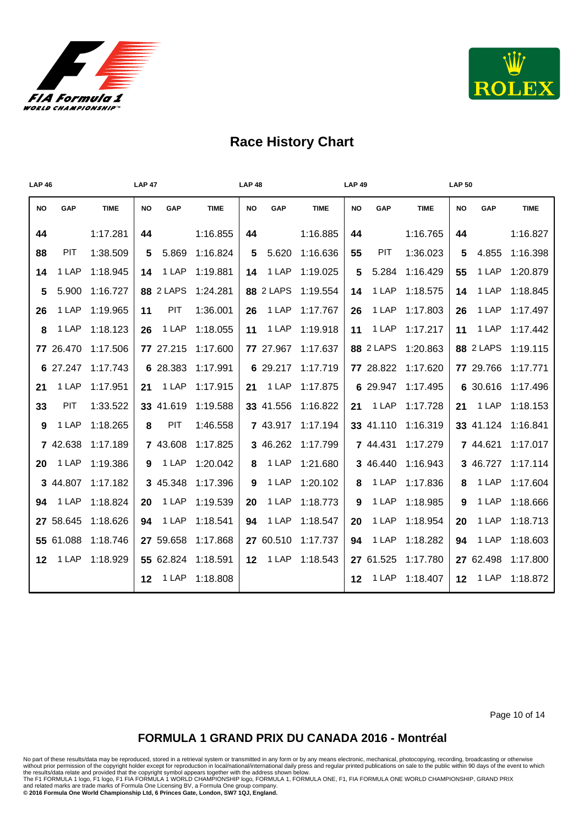



| <b>LAP 46</b>   |            |             | <b>LAP 47</b>    |             | <b>LAP 48</b>    |             | <b>LAP 49</b>    |             | <b>LAP 50</b>    |             |
|-----------------|------------|-------------|------------------|-------------|------------------|-------------|------------------|-------------|------------------|-------------|
| <b>NO</b>       | GAP        | <b>TIME</b> | <b>NO</b><br>GAP | <b>TIME</b> | GAP<br><b>NO</b> | <b>TIME</b> | GAP<br><b>NO</b> | <b>TIME</b> | GAP<br>NO        | <b>TIME</b> |
| 44              |            | 1:17.281    | 44               | 1:16.855    | 44               | 1:16.885    | 44               | 1:16.765    | 44               | 1:16.827    |
| 88              | PIT        | 1:38.509    | 5.869<br>5       | 1:16.824    | 5.620<br>5       | 1:16.636    | PIT<br>55        | 1:36.023    | 4.855<br>5       | 1:16.398    |
| 14              | 1 LAP      | 1:18.945    | 1 LAP<br>14      | 1:19.881    | 1 LAP<br>14      | 1:19.025    | 5.284<br>5       | 1:16.429    | 1 LAP<br>55      | 1:20.879    |
| 5               | 5.900      | 1:16.727    | <b>88 2 LAPS</b> | 1:24.281    | <b>88 2 LAPS</b> | 1:19.554    | 1 LAP<br>14      | 1:18.575    | 1 LAP<br>14      | 1:18.845    |
| 26              | 1 LAP      | 1:19.965    | PIT<br>11        | 1:36.001    | 1 LAP<br>26      | 1:17.767    | 1 LAP<br>26      | 1:17.803    | 1 LAP<br>26      | 1:17.497    |
| 8               | 1 LAP      | 1:18.123    | 1 LAP<br>26      | 1:18.055    | 1 LAP<br>11      | 1:19.918    | 1 LAP<br>11      | 1:17.217    | 1 LAP<br>11      | 1:17.442    |
|                 | 77 26.470  | 1:17.506    | 77 27.215        | 1:17.600    | 77 27.967        | 1:17.637    | 88 2 LAPS        | 1:20.863    | <b>88 2 LAPS</b> | 1:19.115    |
|                 | 6 27.247   | 1:17.743    | 6 28.383         | 1:17.991    | 6 29.217         | 1:17.719    | 77 28.822        | 1:17.620    | 77 29.766        | 1:17.771    |
| 21              | 1 LAP      | 1:17.951    | 1 LAP<br>21      | 1:17.915    | 1 LAP<br>21      | 1:17.875    | 6 29.947         | 1:17.495    | 6 30.616         | 1:17.496    |
| 33              | <b>PIT</b> | 1:33.522    | 33 41.619        | 1:19.588    | 33 41.556        | 1:16.822    | 1 LAP<br>21      | 1:17.728    | 1 LAP<br>21      | 1:18.153    |
| 9               | 1 LAP      | 1:18.265    | PIT<br>8         | 1:46.558    | 7 43.917         | 1:17.194    | 33 41.110        | 1:16.319    | 33 41.124        | 1:16.841    |
|                 | 7 42.638   | 1:17.189    | 7 43.608         | 1:17.825    | 3 46.262         | 1:17.799    | 7 44.431         | 1:17.279    | 7 44.621         | 1:17.017    |
| 20              | 1 LAP      | 1:19.386    | 1 LAP<br>9       | 1:20.042    | 1 LAP<br>8       | 1:21.680    | 3 46.440         | 1:16.943    | 3 46.727         | 1:17.114    |
|                 | 3 44.807   | 1:17.182    | 3 45.348         | 1:17.396    | 1 LAP<br>9       | 1:20.102    | 1 LAP<br>8       | 1:17.836    | 1 LAP<br>8       | 1:17.604    |
| 94              | 1 LAP      | 1:18.824    | 1 LAP<br>20      | 1:19.539    | 1 LAP<br>20      | 1:18.773    | 1 LAP<br>9       | 1:18.985    | 1 LAP<br>9       | 1:18.666    |
|                 | 27 58.645  | 1:18.626    | 1 LAP<br>94      | 1:18.541    | 1 LAP<br>94      | 1:18.547    | 1 LAP<br>20      | 1:18.954    | 20<br>1 LAP      | 1:18.713    |
|                 | 55 61.088  | 1:18.746    | 27 59.658        | 1:17.868    | 27 60.510        | 1:17.737    | 1 LAP<br>94      | 1:18.282    | 1 LAP<br>94      | 1:18.603    |
| 12 <sub>2</sub> | 1 LAP      | 1:18.929    | 55 62.824        | 1:18.591    | 1 LAP<br>12      | 1:18.543    | 27 61.525        | 1:17.780    | 27 62.498        | 1:17.800    |
|                 |            |             | 1 LAP<br>12      | 1:18.808    |                  |             | 1 LAP<br>$12 \,$ | 1:18.407    | 12<br>1 LAP      | 1:18.872    |

Page 10 of 14

#### **FORMULA 1 GRAND PRIX DU CANADA 2016 - Montréal**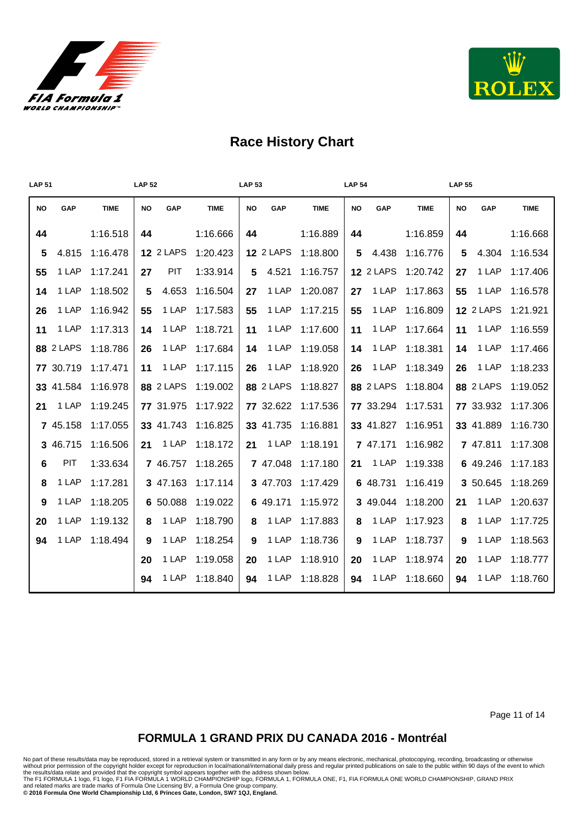



| <b>LAP 51</b> |           |             | <b>LAP 52</b> |                  |             | <b>LAP 53</b> |                  |             | <b>LAP 54</b> |                  |             | <b>LAP 55</b> |                  |             |
|---------------|-----------|-------------|---------------|------------------|-------------|---------------|------------------|-------------|---------------|------------------|-------------|---------------|------------------|-------------|
| <b>NO</b>     | GAP       | <b>TIME</b> | <b>NO</b>     | GAP              | <b>TIME</b> | <b>NO</b>     | GAP              | <b>TIME</b> | <b>NO</b>     | GAP              | <b>TIME</b> | NO            | GAP              | <b>TIME</b> |
| 44            |           | 1:16.518    | 44            |                  | 1:16.666    | 44            |                  | 1:16.889    | 44            |                  | 1:16.859    | 44            |                  | 1:16.668    |
| 5             | 4.815     | 1:16.478    |               | <b>12 2 LAPS</b> | 1:20.423    |               | <b>12 2 LAPS</b> | 1:18.800    | 5             | 4.438            | 1:16.776    | 5             | 4.304            | 1:16.534    |
| 55            | 1 LAP     | 1:17.241    | 27            | PIT              | 1:33.914    | 5             | 4.521            | 1:16.757    |               | <b>12 2 LAPS</b> | 1:20.742    | 27            | 1 LAP            | 1:17.406    |
| 14            | 1 LAP     | 1:18.502    | 5             | 4.653            | 1:16.504    | 27            | 1 LAP            | 1:20.087    | 27            | 1 LAP            | 1:17.863    | 55            | 1 LAP            | 1:16.578    |
| 26            | 1 LAP     | 1:16.942    | 55            | 1 LAP            | 1:17.583    | 55            | 1 LAP            | 1:17.215    | 55            | 1 LAP            | 1:16.809    |               | <b>12 2 LAPS</b> | 1:21.921    |
| 11            | 1 LAP     | 1:17.313    | 14            | 1 LAP            | 1:18.721    | 11            | 1 LAP            | 1:17.600    | 11            | 1 LAP            | 1:17.664    | 11            | 1 LAP            | 1:16.559    |
|               | 88 2 LAPS | 1:18.786    | 26            | 1 LAP            | 1:17.684    | 14            | 1 LAP            | 1:19.058    | 14            | 1 LAP            | 1:18.381    | 14            | 1 LAP            | 1:17.466    |
|               | 77 30.719 | 1:17.471    | 11            | 1 LAP            | 1:17.115    | 26            | 1 LAP            | 1:18.920    | 26            | 1 LAP            | 1:18.349    | 26            | 1 LAP            | 1:18.233    |
|               | 33 41.584 | 1:16.978    |               | <b>88 2 LAPS</b> | 1:19.002    |               | <b>88 2 LAPS</b> | 1:18.827    |               | <b>88 2 LAPS</b> | 1:18.804    |               | <b>88 2 LAPS</b> | 1:19.052    |
| 21            | 1 LAP     | 1:19.245    |               | 77 31.975        | 1:17.922    |               | 77 32.622        | 1:17.536    |               | 77 33.294        | 1:17.531    |               | 77 33.932        | 1:17.306    |
|               | 7 45.158  | 1:17.055    |               | 33 41.743        | 1:16.825    |               | 33 41.735        | 1:16.881    |               | 33 41.827        | 1:16.951    |               | 33 41.889        | 1:16.730    |
|               | 3 46.715  | 1:16.506    | 21            | 1 LAP            | 1:18.172    | 21            | 1 LAP            | 1:18.191    |               | 7 47.171         | 1:16.982    |               | 7 47.811         | 1:17.308    |
| 6             | PIT       | 1:33.634    |               | 7 46.757         | 1:18.265    |               | 7 47.048         | 1:17.180    | 21            | 1 LAP            | 1:19.338    |               | 6 49.246         | 1:17.183    |
| 8             | 1 LAP     | 1:17.281    |               | 3 47.163         | 1:17.114    |               | 3 47.703         | 1:17.429    |               | 6 48.731         | 1:16.419    |               | 3 50.645         | 1:18.269    |
| 9             | 1 LAP     | 1:18.205    |               | 6 50.088         | 1:19.022    |               | 6 49.171         | 1:15.972    |               | 3 49.044         | 1:18.200    | 21            | 1 LAP            | 1:20.637    |
| 20            | 1 LAP     | 1:19.132    | 8             | 1 LAP            | 1:18.790    | 8             | 1 LAP            | 1:17.883    | 8             | 1 LAP            | 1:17.923    | 8             | 1 LAP            | 1:17.725    |
| 94            | 1 LAP     | 1:18.494    | 9             | 1 LAP            | 1:18.254    | 9             | 1 LAP            | 1:18.736    | 9             | 1 LAP            | 1:18.737    | 9             | 1 LAP            | 1:18.563    |
|               |           |             | 20            | 1 LAP            | 1:19.058    | 20            | 1 LAP            | 1:18.910    | 20            | 1 LAP            | 1:18.974    | 20            | 1 LAP            | 1:18.777    |
|               |           |             | 94            | 1 LAP            | 1:18.840    | 94            | 1 LAP            | 1:18.828    | 94            | 1 LAP            | 1:18.660    | 94            | 1 LAP            | 1:18.760    |

Page 11 of 14

#### **FORMULA 1 GRAND PRIX DU CANADA 2016 - Montréal**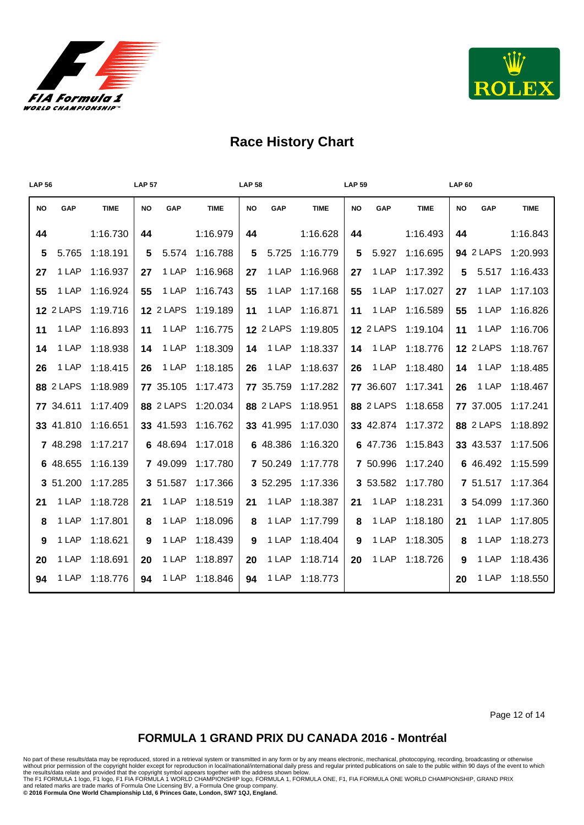



| <b>LAP 56</b> |                  |             | <b>LAP 57</b> |                  |             | <b>LAP 58</b> |                  |             | <b>LAP 59</b> |                  |             | <b>LAP 60</b> |                  |             |
|---------------|------------------|-------------|---------------|------------------|-------------|---------------|------------------|-------------|---------------|------------------|-------------|---------------|------------------|-------------|
| <b>NO</b>     | GAP              | <b>TIME</b> | <b>NO</b>     | GAP              | <b>TIME</b> | <b>NO</b>     | GAP              | <b>TIME</b> | <b>NO</b>     | GAP              | <b>TIME</b> | NO            | GAP              | <b>TIME</b> |
| 44            |                  | 1:16.730    | 44            |                  | 1:16.979    | 44            |                  | 1:16.628    | 44            |                  | 1:16.493    | 44            |                  | 1:16.843    |
| 5             | 5.765            | 1:18.191    | 5             | 5.574            | 1:16.788    | 5             | 5.725            | 1:16.779    | 5             | 5.927            | 1:16.695    |               | <b>94 2 LAPS</b> | 1:20.993    |
| 27            | 1 LAP            | 1:16.937    | 27            | 1 LAP            | 1:16.968    | 27            | 1 LAP            | 1:16.968    | 27            | 1 LAP            | 1:17.392    | 5             | 5.517            | 1:16.433    |
| 55            | 1 LAP            | 1:16.924    | 55            | 1 LAP            | 1:16.743    | 55            | 1 LAP            | 1:17.168    | 55            | 1 LAP            | 1:17.027    | 27            | 1 LAP            | 1:17.103    |
|               | <b>12 2 LAPS</b> | 1:19.716    |               | <b>12 2 LAPS</b> | 1:19.189    | 11            | 1 LAP            | 1:16.871    | 11            | 1 LAP            | 1:16.589    | 55            | 1 LAP            | 1:16.826    |
| 11            | 1 LAP            | 1:16.893    | 11            | 1 LAP            | 1:16.775    |               | <b>12 2 LAPS</b> | 1:19.805    |               | <b>12 2 LAPS</b> | 1:19.104    | 11            | 1 LAP            | 1:16.706    |
| 14            | 1 LAP            | 1:18.938    | 14            | 1 LAP            | 1:18.309    | 14            | 1 LAP            | 1:18.337    | 14            | 1 LAP            | 1:18.776    |               | <b>12 2 LAPS</b> | 1:18.767    |
| 26            | 1 LAP            | 1:18.415    | 26            | 1 LAP            | 1:18.185    | 26            | 1 LAP            | 1:18.637    | 26            | 1 LAP            | 1:18.480    | 14            | 1 LAP            | 1:18.485    |
|               | <b>88 2 LAPS</b> | 1:18.989    |               | 77 35.105        | 1:17.473    |               | 77 35.759        | 1:17.282    |               | 77 36.607        | 1:17.341    | 26            | 1 LAP            | 1:18.467    |
|               | 77 34.611        | 1:17.409    |               | <b>88 2 LAPS</b> | 1:20.034    |               | <b>88 2 LAPS</b> | 1:18.951    |               | <b>88 2 LAPS</b> | 1:18.658    |               | 77 37.005        | 1:17.241    |
|               | 33 41.810        | 1:16.651    |               | 33 41.593        | 1:16.762    |               | 33 41.995        | 1:17.030    |               | 33 42.874        | 1:17.372    |               | <b>88 2 LAPS</b> | 1:18.892    |
|               | 7 48.298         | 1:17.217    |               | 6 48.694         | 1:17.018    |               | 6 48.386         | 1:16.320    |               | 6 47.736         | 1:15.843    |               | 33 43.537        | 1:17.506    |
|               | 6 48.655         | 1:16.139    |               | 7 49.099         | 1:17.780    |               | 7 50.249         | 1:17.778    |               | 7 50.996         | 1:17.240    |               | 6 46.492         | 1:15.599    |
|               | 3 51.200         | 1:17.285    |               | 3 51.587         | 1:17.366    |               | 3 52.295         | 1:17.336    |               | 3 53.582         | 1:17.780    |               | 7 51.517         | 1:17.364    |
| 21            | 1 LAP            | 1:18.728    | 21            | 1 LAP            | 1:18.519    | 21            | 1 LAP            | 1:18.387    | 21            | 1 LAP            | 1:18.231    |               | 3 54.099         | 1:17.360    |
| 8             | 1 LAP            | 1:17.801    | 8             | 1 LAP            | 1:18.096    | 8             | 1 LAP            | 1:17.799    | 8             | 1 LAP            | 1:18.180    | 21            | 1 LAP            | 1:17.805    |
| 9             | 1 LAP            | 1:18.621    | 9             | 1 LAP            | 1:18.439    | 9             | 1 LAP            | 1:18.404    | 9             | 1 LAP            | 1:18.305    | 8             | 1 LAP            | 1:18.273    |
| 20            | 1 LAP            | 1:18.691    | 20            | 1 LAP            | 1:18.897    | 20            | 1 LAP            | 1:18.714    | 20            | 1 LAP            | 1:18.726    | 9             | 1 LAP            | 1:18.436    |
| 94            | 1 LAP            | 1:18.776    | 94            | 1 LAP            | 1:18.846    | 94            | 1 LAP            | 1:18.773    |               |                  |             | 20            | 1 LAP            | 1:18.550    |

Page 12 of 14

#### **FORMULA 1 GRAND PRIX DU CANADA 2016 - Montréal**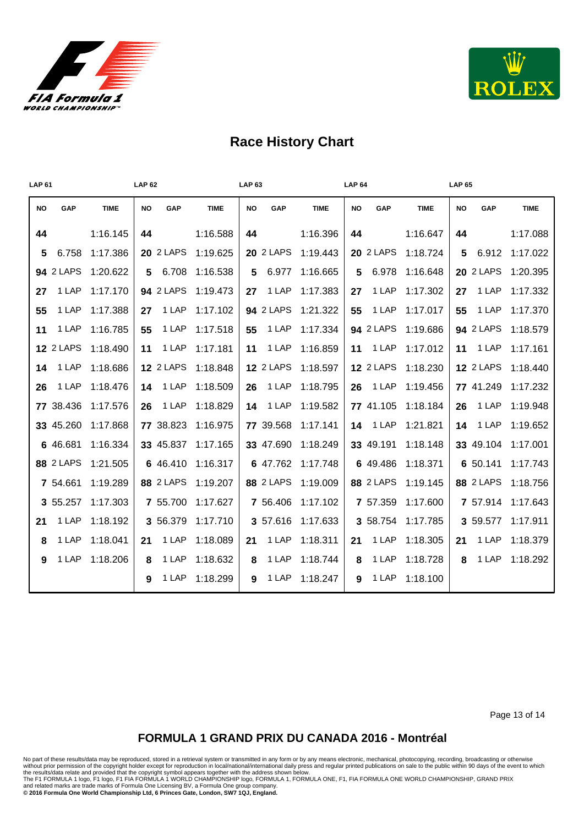



| <b>LAP 61</b> |                  | <b>LAP 62</b> |           |                  | <b>LAP 63</b> |           |                  | <b>LAP 64</b> |    |                  | <b>LAP 65</b> |           |                  |             |
|---------------|------------------|---------------|-----------|------------------|---------------|-----------|------------------|---------------|----|------------------|---------------|-----------|------------------|-------------|
| <b>NO</b>     | GAP              | <b>TIME</b>   | <b>NO</b> | GAP              | <b>TIME</b>   | <b>NO</b> | GAP              | <b>TIME</b>   | NO | GAP              | <b>TIME</b>   | <b>NO</b> | GAP              | <b>TIME</b> |
| 44            |                  | 1:16.145      | 44        |                  | 1:16.588      | 44        |                  | 1:16.396      | 44 |                  | 1:16.647      | 44        |                  | 1:17.088    |
| 5.            | 6.758            | 1:17.386      |           | <b>20 2 LAPS</b> | 1:19.625      |           | <b>20 2 LAPS</b> | 1:19.443      |    | <b>20 2 LAPS</b> | 1:18.724      | 5.        | 6.912            | 1:17.022    |
|               | <b>94 2 LAPS</b> | 1:20.622      |           | 5 6.708          | 1:16.538      | 5         | 6.977            | 1:16.665      | 5  | 6.978            | 1:16.648      |           | <b>20 2 LAPS</b> | 1:20.395    |
| 27            | 1 LAP            | 1:17.170      |           | <b>94 2 LAPS</b> | 1:19.473      | 27        | 1 LAP            | 1:17.383      | 27 | 1 LAP            | 1:17.302      | 27        | 1 LAP            | 1:17.332    |
| 55            | 1 LAP            | 1:17.388      | 27        | 1 LAP            | 1:17.102      |           | <b>94 2 LAPS</b> | 1:21.322      | 55 | 1 LAP            | 1:17.017      | 55        | 1 LAP            | 1:17.370    |
| 11            | 1 LAP            | 1:16.785      | 55        | 1 LAP            | 1:17.518      | 55        | 1 LAP            | 1:17.334      |    | <b>94 2 LAPS</b> | 1:19.686      |           | <b>94 2 LAPS</b> | 1:18.579    |
|               | <b>12 2 LAPS</b> | 1:18.490      | 11        | 1 LAP            | 1:17.181      | 11        | 1 LAP            | 1:16.859      | 11 | 1 LAP            | 1:17.012      |           | <b>11</b> 1 LAP  | 1:17.161    |
| 14            | 1 LAP            | 1:18.686      |           | <b>12 2 LAPS</b> | 1:18.848      |           | <b>12 2 LAPS</b> | 1:18.597      |    | <b>12 2 LAPS</b> | 1:18.230      |           | <b>12 2 LAPS</b> | 1:18.440    |
| 26            | 1 LAP            | 1:18.476      | 14        | 1 LAP            | 1:18.509      | 26        | 1 LAP            | 1:18.795      | 26 | 1 LAP            | 1:19.456      |           | 77 41.249        | 1:17.232    |
|               | 77 38.436        | 1:17.576      | 26        | 1 LAP            | 1:18.829      | 14        | 1 LAP            | 1:19.582      |    | 77 41.105        | 1:18.184      | 26        | 1 LAP            | 1:19.948    |
|               | 33 45.260        | 1:17.868      |           | 77 38.823        | 1:16.975      |           | 77 39.568        | 1:17.141      |    | <b>14</b> 1 LAP  | 1:21.821      | 14        | 1 LAP            | 1:19.652    |
|               | 6 46.681         | 1:16.334      |           | 33 45.837        | 1:17.165      |           | 33 47.690        | 1:18.249      |    | 33 49.191        | 1:18.148      |           | 33 49.104        | 1:17.001    |
|               | <b>88 2 LAPS</b> | 1:21.505      |           | 6 46.410         | 1:16.317      |           | 6 47.762         | 1:17.748      |    | 6 49.486         | 1:18.371      |           | 6 50.141         | 1:17.743    |
|               | 7 54.661         | 1:19.289      |           | <b>88 2 LAPS</b> | 1:19.207      |           | <b>88 2 LAPS</b> | 1:19.009      |    | <b>88 2 LAPS</b> | 1:19.145      |           | <b>88 2 LAPS</b> | 1:18.756    |
|               | 3 55.257         | 1:17.303      |           | 7 55.700         | 1:17.627      |           | 7 56.406         | 1:17.102      |    | 7 57.359         | 1:17.600      |           | 7 57.914         | 1:17.643    |
| 21            | 1 LAP            | 1:18.192      |           | 3 56.379         | 1:17.710      |           | 3 57.616         | 1:17.633      |    | 3 58.754         | 1:17.785      |           | 3 59.577         | 1:17.911    |
| 8             | 1 LAP            | 1:18.041      | 21        | 1 LAP            | 1:18.089      | 21        | 1 LAP            | 1:18.311      | 21 | 1 LAP            | 1:18.305      | 21        | 1 LAP            | 1:18.379    |
| 9             | 1 LAP            | 1:18.206      | 8         | 1 LAP            | 1:18.632      | 8         | 1 LAP            | 1:18.744      | 8  | 1 LAP            | 1:18.728      | 8         | 1 LAP            | 1:18.292    |
|               |                  |               | 9         | 1 LAP            | 1:18.299      | 9         | 1 LAP            | 1:18.247      | 9  | 1 LAP            | 1:18.100      |           |                  |             |

Page 13 of 14

#### **FORMULA 1 GRAND PRIX DU CANADA 2016 - Montréal**